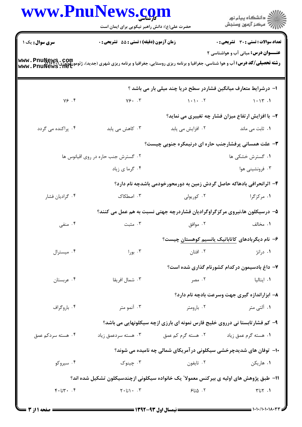|                                                                                                                                                                                                                      | www.PnuNews.com<br>حضرت علی(ع): دانش راهبر نیکویی برای ایمان است<br>زمان آزمون (دقیقه) : تستی : 55 تشریحی : 0 |                                | ِ<br>∭ دانشڪاه پيام نور<br>∭ مرڪز آزمون وسنڊش                               |  |  |  |
|----------------------------------------------------------------------------------------------------------------------------------------------------------------------------------------------------------------------|---------------------------------------------------------------------------------------------------------------|--------------------------------|-----------------------------------------------------------------------------|--|--|--|
| <b>سری سوال :</b> یک ۱                                                                                                                                                                                               |                                                                                                               |                                | <b>تعداد سوالات : تستی : 30 ٪ تشریحی : 0</b>                                |  |  |  |
| <b>عنـــوان درس:</b> مبانی آب و هواشناسی ۲<br><b>رشته تحصیلی/کد درس: آب و هوا شناسی، جغرافیا و برنامه ریزی روستایی، جغرافیا و برنامه ریزی شهری (جدید)، ژئومورفولوژی (www . PnuNews , Com<br/>Www . PnuNews , Net</b> |                                                                                                               |                                |                                                                             |  |  |  |
|                                                                                                                                                                                                                      |                                                                                                               |                                | ا– درشرایط متعارف میانگین فشاردر سطح دریا چند میلی بار می باشد ؟            |  |  |  |
| Y5.5                                                                                                                                                                                                                 | Y5.7                                                                                                          | $1 - 1 - 17$ $1 - 17$ $1 - 17$ |                                                                             |  |  |  |
|                                                                                                                                                                                                                      |                                                                                                               |                                | ۲- با افزایش ارتفاع میزان فشار چه تغییری می نماید؟                          |  |  |  |
| ۰۴ پراکنده می گردد                                                                                                                                                                                                   | ۰۳ کاهش می یابد                                                                                               | ٠٢ افزايش مي يابد              | ۰۱ ثابت می ماند                                                             |  |  |  |
|                                                                                                                                                                                                                      |                                                                                                               |                                | ۳- علت همسانی پرفشارجنب حاره ای درنیمکره جنوبی چیست؟                        |  |  |  |
|                                                                                                                                                                                                                      | ۰۲ گسترش جنب حاره در روی اقیانوس ها                                                                           |                                | ۰۱ گسترش خشکی ها                                                            |  |  |  |
|                                                                                                                                                                                                                      | ۰۴ گرما ی زیاد                                                                                                |                                | ۰۳ فرونشینی هوا                                                             |  |  |  |
|                                                                                                                                                                                                                      |                                                                                                               |                                | ۴- اثرانحرافی بادهاکه حاصل گردش زمین به دورمحورخودمی باشدچه نام دارد؟       |  |  |  |
| ۰۴ گراديان فشار                                                                                                                                                                                                      | ۰۳ اصطکاک                                                                                                     | ۰۲ کوریولی                     | ۱. مرکزگرا                                                                  |  |  |  |
|                                                                                                                                                                                                                      |                                                                                                               |                                | ۵– درسیکلون ها،نیروی مرکزگراوگرادیان فشاردرچه جهتی نسبت به هم عمل می کنند؟  |  |  |  |
| ۰۴ منفی                                                                                                                                                                                                              | ۰۳ مثبت                                                                                                       | ۰۲ موافق                       | ۰۱ مخالف                                                                    |  |  |  |
|                                                                                                                                                                                                                      |                                                                                                               |                                | ۶– نام دیگربادهای کاتاباتیک پانسیم کوهستان چیست؟                            |  |  |  |
| ۰۴ میسترال                                                                                                                                                                                                           | ۰۳ بورا                                                                                                       | ۰۲ افتان                       | ۰۱ درانژ                                                                    |  |  |  |
|                                                                                                                                                                                                                      |                                                                                                               |                                | ۷- داغ بادسیمون درکدام کشورنام گذاری شده است؟                               |  |  |  |
| ۰۴ عربستان                                                                                                                                                                                                           | ۰۳ شمال افريقا                                                                                                | ۰۲ مصر                         | ۰۱ ایتالیا                                                                  |  |  |  |
|                                                                                                                                                                                                                      |                                                                                                               |                                | ۸– ابزاراندازه گیری جهت وسرعت بادچه نام دارد؟                               |  |  |  |
| ۰۴ باروگراف                                                                                                                                                                                                          | ۰۳ آنمو متر                                                                                                   | ۰۲ بارومتر                     | ۱. آلتي متر                                                                 |  |  |  |
|                                                                                                                                                                                                                      |                                                                                                               |                                | ۹- کم فشارتابستا نی درروی خلیج فارس نمونه ای بارزی ازچه سیکلونهایی می باشد؟ |  |  |  |
| ۰۴ هسته سردکم عمق                                                                                                                                                                                                    | ۰۳ هسته سردعمق زیاد                                                                                           | ۰۲ هسته گرم کم عمق             | ۰۱ هسته گرم عمق زیاد                                                        |  |  |  |
|                                                                                                                                                                                                                      |                                                                                                               |                                | ۱۰− توفان های شدیدچرخشی سیکلونی در آمریکای شمالی چه نامیده می شوند؟         |  |  |  |
| ۰۴ سیروکو                                                                                                                                                                                                            | ۰۳ چينوک                                                                                                      | ۰۲ تايفون                      | ۰۱ هاریکن                                                                   |  |  |  |
|                                                                                                                                                                                                                      | 1۱– طبق پژوهش های اولیه ی بیرکنس معمولا ؒ یک خانواده سیکلونی ازچندسیکلون تشکیل شده اند؟                       |                                |                                                                             |  |  |  |
| $\mathcal{F}$ ۰ تا $\mathcal{F}$                                                                                                                                                                                     | $\Upsilon \cdot$ ا آنا $\Upsilon$                                                                             | ۰۲ ۱۵تا۶                       | $Y \cup Y$ . ۱                                                              |  |  |  |
|                                                                                                                                                                                                                      |                                                                                                               |                                |                                                                             |  |  |  |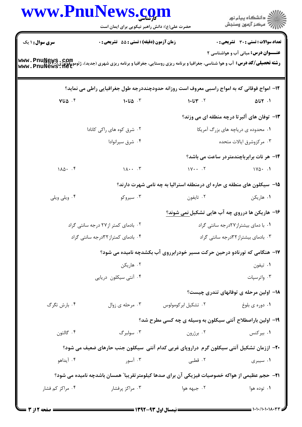|                                     | حضرت علی(ع): دانش راهبر نیکویی برای ایمان است                                                                                                                    |                                                                           | ِ<br>∭ دانشڪاه پيام نور<br>∭ مرڪز آزمون وسنڊش       |
|-------------------------------------|------------------------------------------------------------------------------------------------------------------------------------------------------------------|---------------------------------------------------------------------------|-----------------------------------------------------|
| سری سوال: ۱ یک                      | زمان آزمون (دقيقه) : تستى : 55 تشريحى : 0                                                                                                                        |                                                                           | <b>تعداد سوالات : تستی : 30 ٪ تشریحی : 0</b>        |
|                                     | <b>رشته تحصیلی/کد درس:</b> آب و هوا شناسی، جغرافیا و برنامه ریزی روستایی، جغرافیا و برنامه ریزی شهری (جدید)، ژئومورفولوژی؟\www . PnuNews<br>Www . PnuNews . 11et |                                                                           | <b>عنـــوان درس:</b> مبانی آب و هواشناسی ۲          |
|                                     | ۱۲– امواج فوقانی که به امواج راسبی معروف است روزانه حدودچنددرجه طول جغرافیایی راطی می نماید؟                                                                     |                                                                           |                                                     |
| ۰۴ ۵تا۷                             | ۰۳ ه. ۱۰ م.                                                                                                                                                      | $1.5$ $1.7$ $1.7$                                                         | ۰۱. ۲تا۵                                            |
|                                     |                                                                                                                                                                  |                                                                           | <b>۱۳</b> - توفان های آلبرتا درچه منطقه ای می وزند؟ |
|                                     | ۰۲ شرق کوه های راکی کانادا                                                                                                                                       |                                                                           | ٠١ محدوده ي درياچه هاي بزرگ آمريكا                  |
|                                     | ۰۴ شرق سیرانوادا                                                                                                                                                 | ۰۳ مرکزوشرق ایالات متحده                                                  |                                                     |
|                                     |                                                                                                                                                                  |                                                                           | <b>۱۴</b> - هر نات برابرباچندمتردر ساعت می باشد؟    |
| $1\lambda\Delta\cdot\cdot\cdot$     | $\Lambda \cdot \cdot \cdot$ . $\mathbf{r}$                                                                                                                       | $\mathsf{N} \cdot \cdot \cdot \mathsf{N}$                                 | $\sqrt{110}$                                        |
|                                     |                                                                                                                                                                  | ۱۵- سیکلون های منطقه ی حاره ای درمنطقه استرالیا به چه نامی شهرت دارند؟    |                                                     |
| ۰۴ ویلی ویلی                        | ۰۳ سیروکو                                                                                                                                                        | ۰۲ تايفون                                                                 | ۰۱ هاریکن                                           |
|                                     |                                                                                                                                                                  | ۱۶- هاریکن ها درروی چه آب هایی تشکیل <u>نمی شوند؟</u>                     |                                                     |
| ۰۲ بادمای کمتر از۲۷ درجه سانتی گراد |                                                                                                                                                                  | ٠١ با دمای بیشتراز ٢٧درجه سانتی گراد                                      |                                                     |
| ۰۴ بادمای کمتراز ۳۲درجه سانتی گراد  |                                                                                                                                                                  |                                                                           | ۰۳ بادمای بیشتراز ۳۲درجه سانتی گراد                 |
|                                     |                                                                                                                                                                  | ۱۷- هنگامی که تورنادو درحین حرکت مسیر خودرابرروی آب بکشدچه نامیده می شود؟ |                                                     |
|                                     | ۰۲ هاریکن                                                                                                                                                        |                                                                           | ۰۱ تيفون                                            |
|                                     | ۰۴ آنتی سیکلون دریایی                                                                                                                                            |                                                                           | ۰۳ واترسپات                                         |
|                                     |                                                                                                                                                                  |                                                                           | <b>۱۸</b> - اولین مرحله ی توفانهای تندری چیست؟      |
| ۰۴ بارش تگرگ                        | ۰۳ مرحله ی زوال                                                                                                                                                  | ۰۲ تشکیل ابر کومولوس                                                      | ۰۱ دوره ی بلوغ                                      |
|                                     |                                                                                                                                                                  | ۱۹- اولین باراصطلاح آنتی سیکلون به وسیله ی چه کسی مطرح شد؟                |                                                     |
| ۰۴ گالتون                           | ۰۳ سولبرگ                                                                                                                                                        | ۰۲ برژرون                                                                 | ۰۱ بیرکنس                                           |
|                                     | +۲- اززمان تشکیل آنتی سیکلون گرم دراروپای غربی کدام آنتی سیکلون جنب حارهای ضعیف می شود؟                                                                          |                                                                           |                                                     |
| ۰۴ آیداهو                           | ۰۳ آسور                                                                                                                                                          | ۰۲ قطبی                                                                   | ۰۱ سیبری                                            |
|                                     | <b>۲۱</b> - حجم عظیمی از هواکه خصوصیات فیزیکی آن برای صدها کیلومتر تقریبا" همسان باشدچه نامیده می شود؟                                                           |                                                                           |                                                     |
| ۰۴ مراکز کم فشار                    | ۰۳ مراکز پرفشار                                                                                                                                                  | ۰۲ جبهه هوا                                                               | ۰۱ توده هوا                                         |